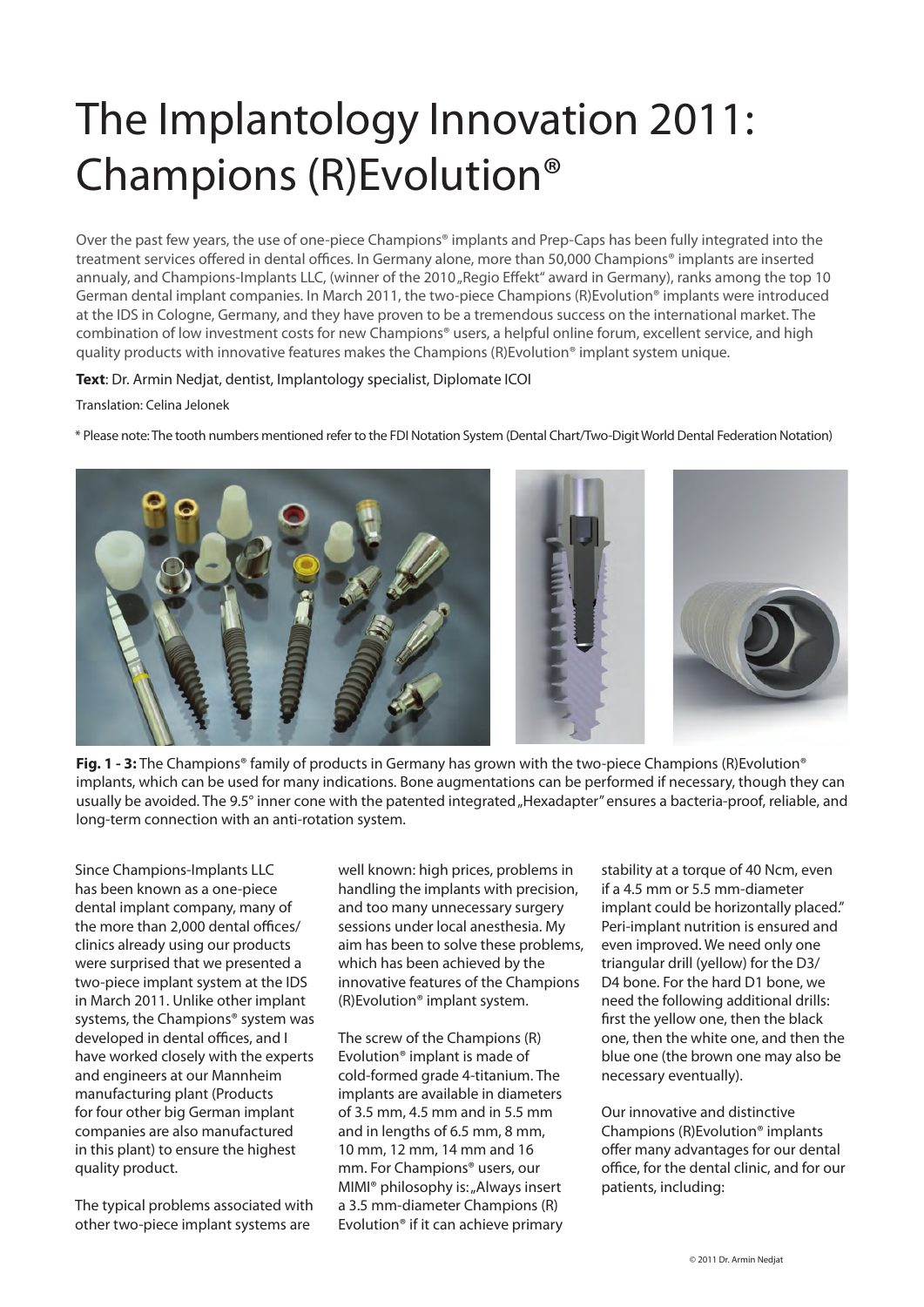## The Implantology Innovation 2011: Champions (R)Evolution®

Over the past few years, the use of one-piece Champions® implants and Prep-Caps has been fully integrated into the treatment services offered in dental offices. In Germany alone, more than 50,000 Champions® implants are inserted annualy, and Champions-Implants LLC, (winner of the 2010 "Regio Effekt" award in Germany), ranks among the top 10 German dental implant companies. In March 2011, the two-piece Champions (R)Evolution® implants were introduced at the IDS in Cologne, Germany, and they have proven to be a tremendous success on the international market. The combination of low investment costs for new Champions® users, a helpful online forum, excellent service, and high quality products with innovative features makes the Champions (R)Evolution® implant system unique.

## **Text**: Dr. Armin Nedjat, dentist, Implantology specialist, Diplomate ICOI

Translation: Celina Jelonek

\* Please note: The tooth numbers mentioned refer to the FDI Notation System (Dental Chart/Two-Digit World Dental Federation Notation)



**Fig. 1 - 3:** The Champions® family of products in Germany has grown with the two-piece Champions (R)Evolution® implants, which can be used for many indications. Bone augmentations can be performed if necessary, though they can usually be avoided. The 9.5° inner cone with the patented integrated "Hexadapter" ensures a bacteria-proof, reliable, and long-term connection with an anti-rotation system.

Since Champions-Implants LLC has been known as a one-piece dental implant company, many of the more than 2,000 dental offices/ clinics already using our products were surprised that we presented a two-piece implant system at the IDS in March 2011. Unlike other implant systems, the Champions® system was developed in dental offices, and I have worked closely with the experts and engineers at our Mannheim manufacturing plant (Products for four other big German implant companies are also manufactured in this plant) to ensure the highest quality product.

The typical problems associated with other two-piece implant systems are

well known: high prices, problems in handling the implants with precision, and too many unnecessary surgery sessions under local anesthesia. My aim has been to solve these problems, which has been achieved by the innovative features of the Champions (R)Evolution® implant system.

The screw of the Champions (R) Evolution® implant is made of cold-formed grade 4-titanium. The implants are available in diameters of 3.5 mm, 4.5 mm and in 5.5 mm and in lengths of 6.5 mm, 8 mm, 10 mm, 12 mm, 14 mm and 16 mm. For Champions® users, our MIMI<sup>®</sup> philosophy is: "Always insert a 3.5 mm-diameter Champions (R) Evolution® if it can achieve primary stability at a torque of 40 Ncm, even if a 4.5 mm or 5.5 mm-diameter implant could be horizontally placed." Peri-implant nutrition is ensured and even improved. We need only one triangular drill (yellow) for the D3/ D4 bone. For the hard D1 bone, we need the following additional drills: first the yellow one, then the black one, then the white one, and then the blue one (the brown one may also be necessary eventually).

Our innovative and distinctive Champions (R)Evolution® implants offer many advantages for our dental office, for the dental clinic, and for our patients, including: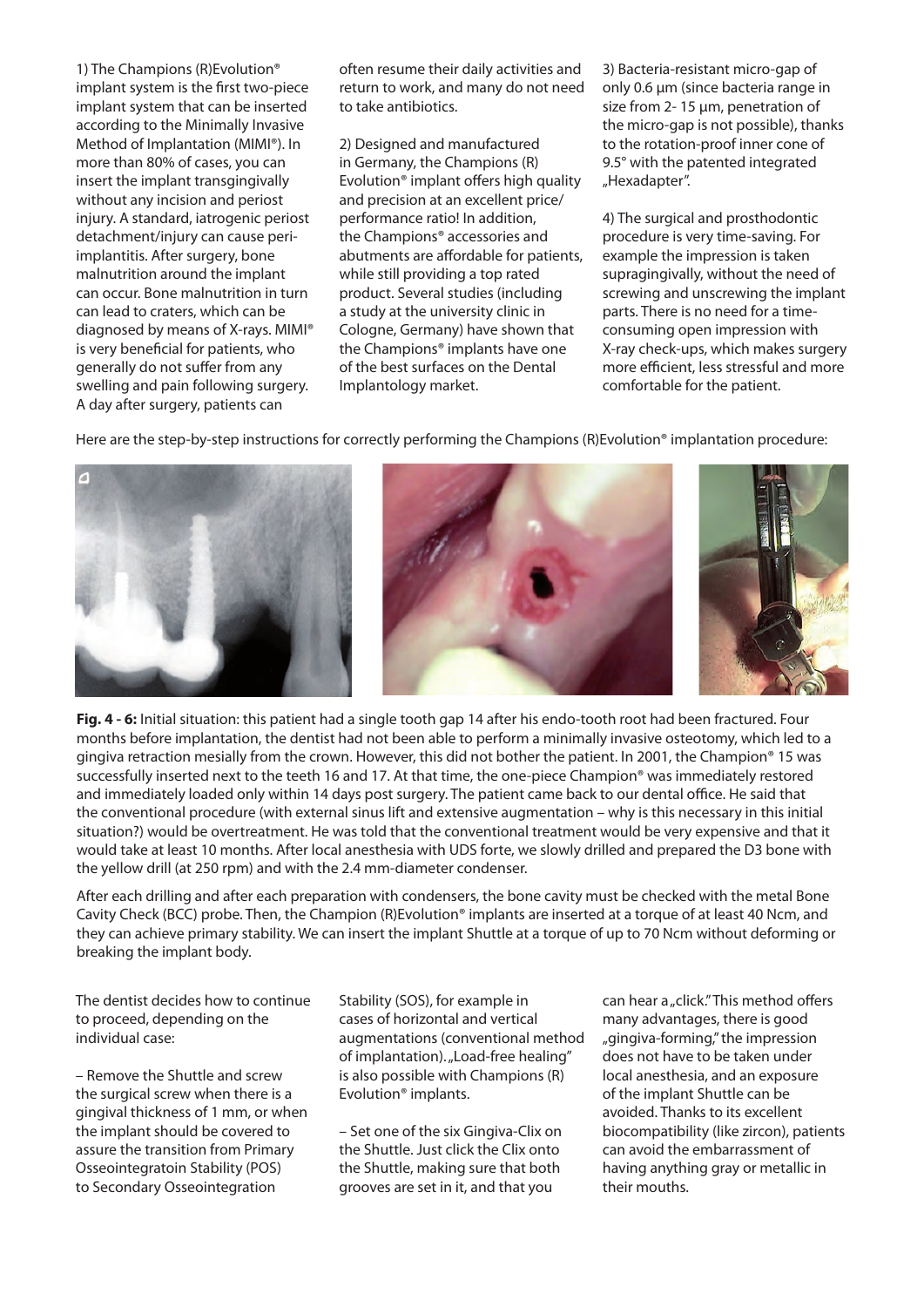1) The Champions (R)Evolution® implant system is the first two-piece implant system that can be inserted according to the Minimally Invasive Method of Implantation (MIMI®). In more than 80% of cases, you can insert the implant transgingivally without any incision and periost injury. A standard, iatrogenic periost detachment/injury can cause periimplantitis. After surgery, bone malnutrition around the implant can occur. Bone malnutrition in turn can lead to craters, which can be diagnosed by means of X-rays. MIMI® is very beneficial for patients, who generally do not suffer from any swelling and pain following surgery. A day after surgery, patients can

often resume their daily activities and return to work, and many do not need to take antibiotics.

2) Designed and manufactured in Germany, the Champions (R) Evolution® implant offers high quality and precision at an excellent price/ performance ratio! In addition, the Champions® accessories and abutments are affordable for patients, while still providing a top rated product. Several studies (including a study at the university clinic in Cologne, Germany) have shown that the Champions® implants have one of the best surfaces on the Dental Implantology market.

3) Bacteria-resistant micro-gap of only 0.6 μm (since bacteria range in size from 2- 15 μm, penetration of the micro-gap is not possible), thanks to the rotation-proof inner cone of 9.5° with the patented integrated "Hexadapter".

4) The surgical and prosthodontic procedure is very time-saving. For example the impression is taken supragingivally, without the need of screwing and unscrewing the implant parts. There is no need for a timeconsuming open impression with X-ray check-ups, which makes surgery more efficient, less stressful and more comfortable for the patient.

Here are the step-by-step instructions for correctly performing the Champions (R)Evolution® implantation procedure:



**Fig. 4 - 6:** Initial situation: this patient had a single tooth gap 14 after his endo-tooth root had been fractured. Four months before implantation, the dentist had not been able to perform a minimally invasive osteotomy, which led to a gingiva retraction mesially from the crown. However, this did not bother the patient. In 2001, the Champion® 15 was successfully inserted next to the teeth 16 and 17. At that time, the one-piece Champion® was immediately restored and immediately loaded only within 14 days post surgery. The patient came back to our dental office. He said that the conventional procedure (with external sinus lift and extensive augmentation – why is this necessary in this initial situation?) would be overtreatment. He was told that the conventional treatment would be very expensive and that it would take at least 10 months. After local anesthesia with UDS forte, we slowly drilled and prepared the D3 bone with the yellow drill (at 250 rpm) and with the 2.4 mm-diameter condenser.

After each drilling and after each preparation with condensers, the bone cavity must be checked with the metal Bone Cavity Check (BCC) probe. Then, the Champion (R)Evolution® implants are inserted at a torque of at least 40 Ncm, and they can achieve primary stability. We can insert the implant Shuttle at a torque of up to 70 Ncm without deforming or breaking the implant body.

The dentist decides how to continue to proceed, depending on the individual case:

– Remove the Shuttle and screw the surgical screw when there is a gingival thickness of 1 mm, or when the implant should be covered to assure the transition from Primary Osseointegratoin Stability (POS) to Secondary Osseointegration

Stability (SOS), for example in cases of horizontal and vertical augmentations (conventional method of implantation). "Load-free healing" is also possible with Champions (R) Evolution® implants.

– Set one of the six Gingiva-Clix on the Shuttle. Just click the Clix onto the Shuttle, making sure that both grooves are set in it, and that you

can hear a "click." This method offers many advantages, there is good "gingiva-forming," the impression does not have to be taken under local anesthesia, and an exposure of the implant Shuttle can be avoided. Thanks to its excellent biocompatibility (like zircon), patients can avoid the embarrassment of having anything gray or metallic in their mouths.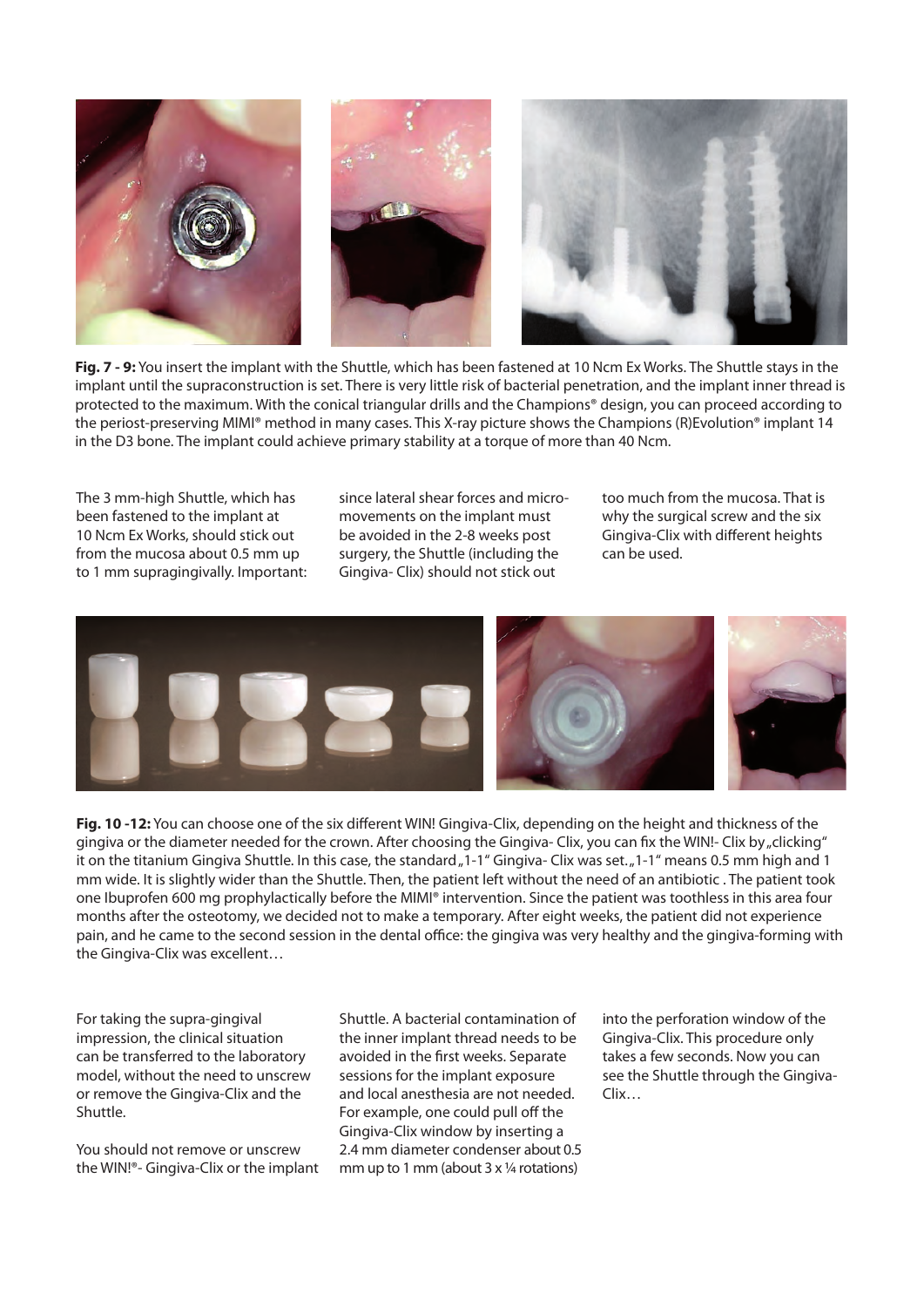

**Fig. 7 - 9:** You insert the implant with the Shuttle, which has been fastened at 10 Ncm Ex Works. The Shuttle stays in the implant until the supraconstruction is set. There is very little risk of bacterial penetration, and the implant inner thread is protected to the maximum. With the conical triangular drills and the Champions® design, you can proceed according to the periost-preserving MIMI® method in many cases. This X-ray picture shows the Champions (R)Evolution® implant 14 in the D3 bone. The implant could achieve primary stability at a torque of more than 40 Ncm.

The 3 mm-high Shuttle, which has been fastened to the implant at 10 Ncm Ex Works, should stick out from the mucosa about 0.5 mm up to 1 mm supragingivally. Important: since lateral shear forces and micromovements on the implant must be avoided in the 2-8 weeks post surgery, the Shuttle (including the Gingiva- Clix) should not stick out

too much from the mucosa. That is why the surgical screw and the six Gingiva-Clix with different heights can be used.



**Fig. 10 -12:** You can choose one of the six different WIN! Gingiva-Clix, depending on the height and thickness of the gingiva or the diameter needed for the crown. After choosing the Gingiva- Clix, you can fix the WIN!- Clix by "clicking" it on the titanium Gingiva Shuttle. In this case, the standard "1-1" Gingiva- Clix was set. "1-1" means 0.5 mm high and 1 mm wide. It is slightly wider than the Shuttle. Then, the patient left without the need of an antibiotic . The patient took one Ibuprofen 600 mg prophylactically before the MIMI® intervention. Since the patient was toothless in this area four months after the osteotomy, we decided not to make a temporary. After eight weeks, the patient did not experience pain, and he came to the second session in the dental office: the gingiva was very healthy and the gingiva-forming with the Gingiva-Clix was excellent…

For taking the supra-gingival impression, the clinical situation can be transferred to the laboratory model, without the need to unscrew or remove the Gingiva-Clix and the Shuttle.

You should not remove or unscrew the WIN!®- Gingiva-Clix or the implant Shuttle. A bacterial contamination of the inner implant thread needs to be avoided in the first weeks. Separate sessions for the implant exposure and local anesthesia are not needed. For example, one could pull off the Gingiva-Clix window by inserting a 2.4 mm diameter condenser about 0.5 mm up to 1 mm (about 3 x ¼ rotations)

into the perforation window of the Gingiva-Clix. This procedure only takes a few seconds. Now you can see the Shuttle through the Gingiva-Clix…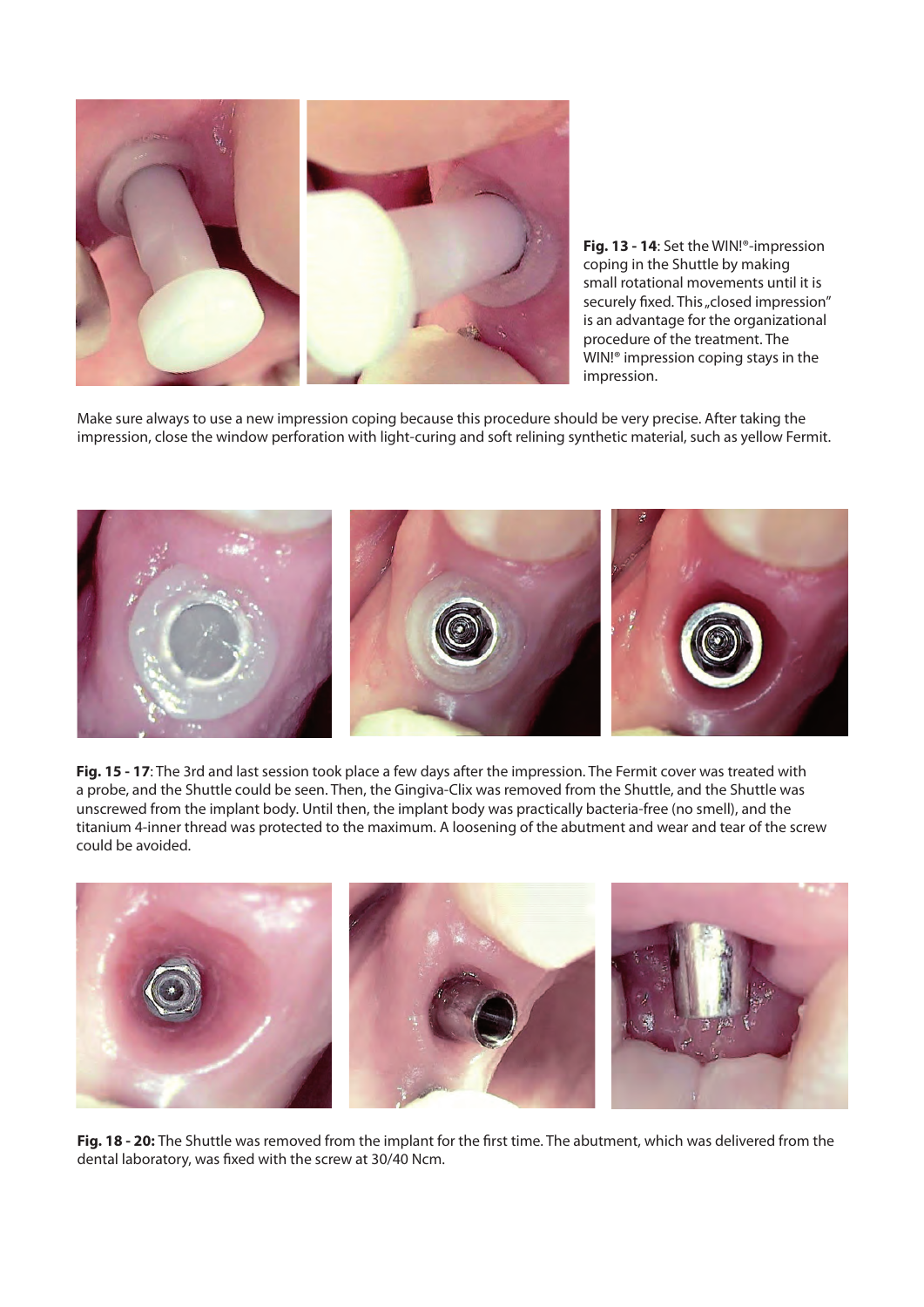

**Fig. 13 - 14**: Set the WIN!®-impression coping in the Shuttle by making small rotational movements until it is securely fixed. This "closed impression" is an advantage for the organizational procedure of the treatment. The WIN!® impression coping stays in the impression.

Make sure always to use a new impression coping because this procedure should be very precise. After taking the impression, close the window perforation with light-curing and soft relining synthetic material, such as yellow Fermit.



**Fig. 15 - 17**: The 3rd and last session took place a few days after the impression. The Fermit cover was treated with a probe, and the Shuttle could be seen. Then, the Gingiva-Clix was removed from the Shuttle, and the Shuttle was unscrewed from the implant body. Until then, the implant body was practically bacteria-free (no smell), and the titanium 4-inner thread was protected to the maximum. A loosening of the abutment and wear and tear of the screw could be avoided.



**Fig. 18 - 20:** The Shuttle was removed from the implant for the first time. The abutment, which was delivered from the dental laboratory, was fixed with the screw at 30/40 Ncm.